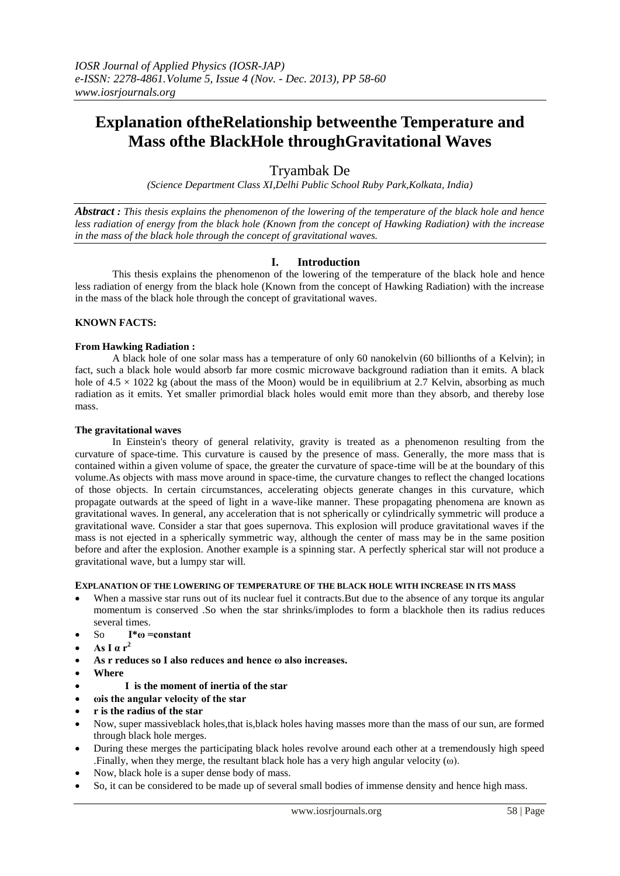# **Explanation oftheRelationship betweenthe Temperature and Mass ofthe BlackHole throughGravitational Waves**

# Tryambak De

*(Science Department Class XI,Delhi Public School Ruby Park,Kolkata, India)*

*Abstract : This thesis explains the phenomenon of the lowering of the temperature of the black hole and hence less radiation of energy from the black hole (Known from the concept of Hawking Radiation) with the increase in the mass of the black hole through the concept of gravitational waves.* 

### **I. Introduction**

This thesis explains the phenomenon of the lowering of the temperature of the black hole and hence less radiation of energy from the black hole (Known from the concept of Hawking Radiation) with the increase in the mass of the black hole through the concept of gravitational waves.

#### **KNOWN FACTS:**

#### **From Hawking Radiation :**

A black hole of one solar mass has a temperature of only 60 nanokelvin (60 billionths of a Kelvin); in fact, such a black hole would absorb far more cosmic microwave background radiation than it emits. A black hole of  $4.5 \times 1022$  kg (about the mass of the Moon) would be in equilibrium at 2.7 Kelvin, absorbing as much radiation as it emits. Yet smaller primordial black holes would emit more than they absorb, and thereby lose mass.

#### **The gravitational waves**

In Einstein's theory of general relativity, gravity is treated as a phenomenon resulting from the curvature of space-time. This curvature is caused by the presence of mass. Generally, the more mass that is contained within a given volume of space, the greater the curvature of space-time will be at the boundary of this volume.As objects with mass move around in space-time, the curvature changes to reflect the changed locations of those objects. In certain circumstances, accelerating objects generate changes in this curvature, which propagate outwards at the speed of light in a wave-like manner. These propagating phenomena are known as gravitational waves. In general, any acceleration that is not spherically or cylindrically symmetric will produce a gravitational wave. Consider a star that goes supernova. This explosion will produce gravitational waves if the mass is not ejected in a spherically symmetric way, although the center of mass may be in the same position before and after the explosion. Another example is a spinning star. A perfectly spherical star will not produce a gravitational wave, but a lumpy star will.

#### **EXPLANATION OF THE LOWERING OF TEMPERATURE OF THE BLACK HOLE WITH INCREASE IN ITS MASS**

- When a massive star runs out of its nuclear fuel it contracts. But due to the absence of any torque its angular momentum is conserved .So when the star shrinks/implodes to form a blackhole then its radius reduces several times.
- So **I\*ω =constant**
- **As I α r<sup>2</sup>**
- **As r reduces so I also reduces and hence ω also increases.**
- **Where**
- **I is the moment of inertia of the star**
- **ωis the angular velocity of the star**
- **r is the radius of the star**
- Now, super massiveblack holes,that is,black holes having masses more than the mass of our sun, are formed through black hole merges.
- During these merges the participating black holes revolve around each other at a tremendously high speed .Finally, when they merge, the resultant black hole has a very high angular velocity (ω).
- Now, black hole is a super dense body of mass.
- So, it can be considered to be made up of several small bodies of immense density and hence high mass.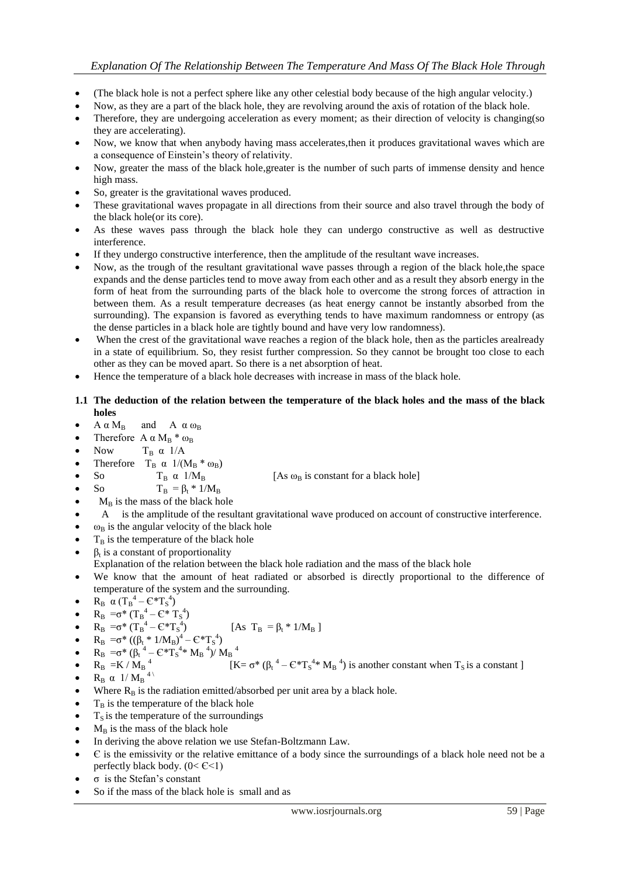## *Explanation Of The Relationship Between The Temperature And Mass Of The Black Hole Through*

- (The black hole is not a perfect sphere like any other celestial body because of the high angular velocity.)
- Now, as they are a part of the black hole, they are revolving around the axis of rotation of the black hole.
- Therefore, they are undergoing acceleration as every moment; as their direction of velocity is changing(so they are accelerating).
- Now, we know that when anybody having mass accelerates,then it produces gravitational waves which are a consequence of Einstein's theory of relativity.
- Now, greater the mass of the black hole,greater is the number of such parts of immense density and hence high mass.
- So, greater is the gravitational waves produced.
- These gravitational waves propagate in all directions from their source and also travel through the body of the black hole(or its core).
- As these waves pass through the black hole they can undergo constructive as well as destructive interference.
- If they undergo constructive interference, then the amplitude of the resultant wave increases.
- Now, as the trough of the resultant gravitational wave passes through a region of the black hole,the space expands and the dense particles tend to move away from each other and as a result they absorb energy in the form of heat from the surrounding parts of the black hole to overcome the strong forces of attraction in between them. As a result temperature decreases (as heat energy cannot be instantly absorbed from the surrounding). The expansion is favored as everything tends to have maximum randomness or entropy (as the dense particles in a black hole are tightly bound and have very low randomness).
- When the crest of the gravitational wave reaches a region of the black hole, then as the particles arealready in a state of equilibrium. So, they resist further compression. So they cannot be brought too close to each other as they can be moved apart. So there is a net absorption of heat.
- Hence the temperature of a black hole decreases with increase in mass of the black hole.

#### **1.1 The deduction of the relation between the temperature of the black holes and the mass of the black holes**

- $A \alpha M_B$  and  $A \alpha \omega_B$
- Therefore  $A \alpha M_B * \omega_B$
- Now  $T_B \alpha$  1/A
- Therefore T<sub>B</sub> α  $1/(M_B * ω_B)$ <br>
So T<sub>B</sub> α  $1/M_B$
- So  $T_B \alpha$  1/M<sub>B</sub> [As  $\omega_B$  is constant for a black hole]
- So  $T_B = \beta_t * 1/M_B$
- $M_B$  is the mass of the black hole
- A is the amplitude of the resultant gravitational wave produced on account of constructive interference.
- $\omega_B$  is the angular velocity of the black hole
- $T_B$  is the temperature of the black hole
- $\bullet$   $\beta_t$  is a constant of proportionality
- Explanation of the relation between the black hole radiation and the mass of the black hole
- We know that the amount of heat radiated or absorbed is directly proportional to the difference of temperature of the system and the surrounding.
- $R_B \alpha (T_B^4 \epsilon^* T_S^4)$
- $R_B = \sigma^* (T_B^4 C^* T_S^4)$
- $R_B = \sigma^* (T_B^4 C^*T_S^4)$  [As  $T_B = \beta_t * 1/M_B$ ]
- $R_B = \sigma^* ((\beta_t * 1/M_B)^4 C * T_S^4)$
- $R_B = \sigma^* (\beta_t^4 C^*T_S^4 * M_B^4)/M_B^4$
- $R_B = K / M_B$ <sup>4</sup> [K=  $\sigma^* (\beta_t^4 C^* T_S^4 * M_B^4)$  is another constant when  $T_S$  is a constant ]
- $R_B \alpha$  1/  $M_B$ <sup>4)</sup>
- Where  $R_B$  is the radiation emitted/absorbed per unit area by a black hole.
- $T<sub>B</sub>$  is the temperature of the black hole
- $T<sub>S</sub>$  is the temperature of the surroundings
- $M_B$  is the mass of the black hole
- In deriving the above relation we use Stefan-Boltzmann Law.
- Є is the emissivity or the relative emittance of a body since the surroundings of a black hole need not be a perfectly black body. (0< Є<1)
- σ is the Stefan's constant
- So if the mass of the black hole is small and as